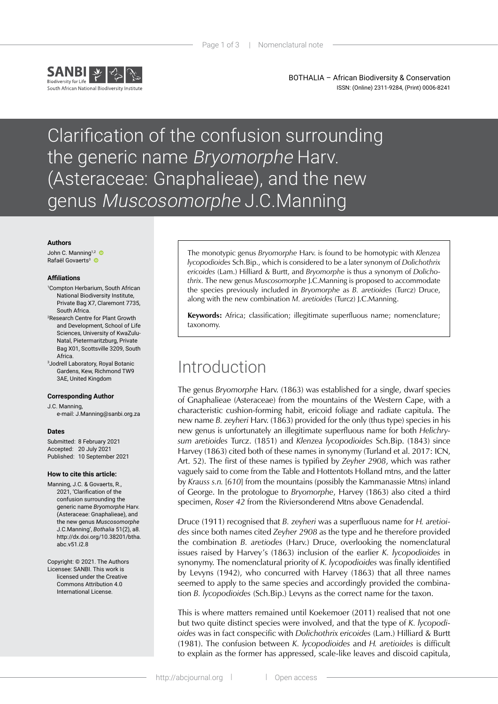

BOTHALIA – African Biodiversity & Conservation ISSN: (Online) 2311-9284, (Print) 0006-8241

# Clarification of the confusion surrounding the generic name Bryomorphe Harv. (Asteraceae: Gnaphalieae), and the new genus Muscosomorphe J.C.Manning

#### **Authors**

John C. Manning<sup>1,2</sup> Rafaël Govaerts<sup>3</sup>

### **Affiliations**

- 1 Compton Herbarium, South African National Biodiversity Institute, Private Bag X7, Claremont 7735, South Africa.
- 2 Research Centre for Plant Growth and Development, School of Life Sciences, University of KwaZulu-Natal, Pietermaritzburg, Private Bag X01, Scottsville 3209, South<br>Africa. Africa. 3 Jodrell Laboratory, Royal Botanic
- Gardens, Kew, Richmond TW9 3AE, United Kingdom

#### **Corresponding Author**

J.C. Manning,

e-mail: J.Manning@sanbi.org.za

### **Dates**

Submitted: 8 February 2021 Accepted: 20 July 2021 Published: 10 September 2021

### **How to cite this article:**

Manning, J.C. & Govaerts, R., 2021, 'Clarification of the confusion surrounding the generic name *Bryomorphe* Harv. (Asteraceae: Gnaphalieae), and the new genus *Muscosomorphe*  J.C.Manning', *Bothalia* 51(2), a8. [http://dx.doi.org/10.38201/btha.](http://dx.doi.org/10.38201/btha.abc.v51.i2) [abc.v51.i2.](http://dx.doi.org/10.38201/btha.abc.v51.i2)8

Copyright: © 2021. The Authors Licensee: SANBI. This work is licensed under the Creative Commons Attribution 4.0 International License.

The monotypic genus *Bryomorphe* Harv. is found to be homotypic with *Klenzea lycopodioides* Sch.Bip., which is considered to be a later synonym of *Dolichothrix ericoides* (Lam.) Hilliard & Burtt, and *Bryomorphe* is thus a synonym of *Dolichothrix*. The new genus *Muscosomorphe* J.C.Manning is proposed to accommodate the species previously included in *Bryomorphe* as *B. aretioides* (Turcz) Druce, along with the new combination *M. aretioides* (Turcz) J.C.Manning.

**Keywords:** Africa; classification; illegitimate superfluous name; nomenclature; taxonomy.

## Introduction

The genus *Bryomorphe* Harv. (1863) was established for a single, dwarf species of Gnaphalieae (Asteraceae) from the mountains of the Western Cape, with a characteristic cushion-forming habit, ericoid foliage and radiate capitula. The new name *B. zeyheri* Harv. (1863) provided for the only (thus type) species in his new genus is unfortunately an illegitimate superfluous name for both *Helichrysum aretioides* Turcz. (1851) and *Klenzea lycopodioides* Sch.Bip. (1843) since Harvey (1863) cited both of these names in synonymy (Turland et al. 2017: ICN, Art. 52). The first of these names is typified by *Zeyher 2908*, which was rather vaguely said to come from the Table and Hottentots Holland mtns, and the latter by *Krauss s.n.* [*610*] from the mountains (possibly the Kammanassie Mtns) inland of George. In the protologue to *Bryomorphe*, Harvey (1863) also cited a third specimen, *Roser 42* from the Riviersonderend Mtns above Genadendal.

Druce (1911) recognised that *B. zeyheri* was a superfluous name for *H. aretioides* since both names cited *Zeyher 2908* as the type and he therefore provided the combination *B. aretiodes* (Harv.) Druce, overlooking the nomenclatural issues raised by Harvey's (1863) inclusion of the earlier *K. lycopodioides* in synonymy. The nomenclatural priority of *K. lycopodioides* was finally identified by Levyns (1942), who concurred with Harvey (1863) that all three names seemed to apply to the same species and accordingly provided the combination *B. lycopodioides* (Sch.Bip.) Levyns as the correct name for the taxon.

This is where matters remained until Koekemoer (2011) realised that not one but two quite distinct species were involved, and that the type of *K. lycopodioides* was in fact conspecific with *Dolichothrix ericoides* (Lam.) Hilliard & Burtt (1981). The confusion between *K. lycopodioides* and *H. aretioides* is difficult to explain as the former has appressed, scale-like leaves and discoid capitula,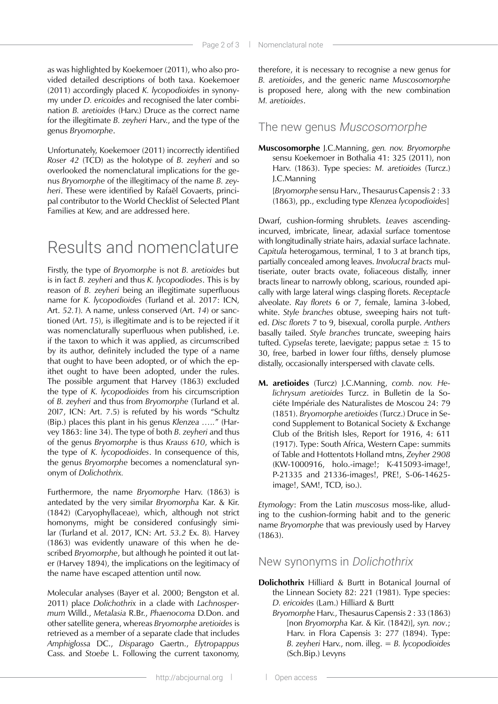as was highlighted by Koekemoer (2011), who also provided detailed descriptions of both taxa. Koekemoer (2011) accordingly placed *K. lycopodioides* in synonymy under *D. ericoides* and recognised the later combination *B. aretioides* (Harv.) Druce as the correct name for the illegitimate *B. zeyheri* Harv., and the type of the genus *Bryomorphe*.

Unfortunately, Koekemoer (2011) incorrectly identified *Roser 42* (TCD) as the holotype of *B. zeyheri* and so overlooked the nomenclatural implications for the genus *Bryomorphe* of the illegitimacy of the name *B. zeyheri*. These were identified by Rafaël Govaerts, principal contributor to the World Checklist of Selected Plant Families at Kew, and are addressed here.

# Results and nomenclature

Firstly, the type of *Bryomorphe* is not *B. aretioides* but is in fact *B. zeyheri* and thus *K. lycopodiodes*. This is by reason of *B. zeyheri* being an illegitimate superfluous name for *K. lycopodioides* (Turland et al. 2017: ICN, Art. *52.1*)*.* A name, unless conserved (Art. *14*) or sanctioned (Art. *15*), is illegitimate and is to be rejected if it was nomenclaturally superfluous when published, i.e. if the taxon to which it was applied, as circumscribed by its author, definitely included the type of a name that ought to have been adopted, or of which the epithet ought to have been adopted, under the rules. The possible argument that Harvey (1863) excluded the type of *K. lycopodioides* from his circumscription of *B. zeyheri* and thus from *Bryomorphe* (Turland et al. 20I7, ICN: Art. 7.5) is refuted by his words "Schultz (Bip.) places this plant in his genus *Klenzea …..*" (Harvey 1863: line 34). The type of both *B. zeyheri* and thus of the genus *Bryomorphe* is thus *Krauss 610*, which is the type of *K. lycopodioides*. In consequence of this, the genus *Bryomorphe* becomes a nomenclatural synonym of *Dolichothrix.*

Furthermore, the name *Bryomorphe* Harv. (1863) is antedated by the very similar *Bryomorpha* Kar. & Kir. (1842) (Caryophyllaceae), which, although not strict homonyms, might be considered confusingly similar (Turland et al. 2017, ICN: Art. *53.2* Ex. 8)*.* Harvey (1863) was evidently unaware of this when he described *Bryomorphe*, but although he pointed it out later (Harvey 1894), the implications on the legitimacy of the name have escaped attention until now.

Molecular analyses (Bayer et al. 2000; Bengston et al. 2011) place *Dolichothrix* in a clade with *Lachnospermum* Willd., *Metalasia* R.Br., *Phaenocoma* D.Don. and other satellite genera, whereas *Bryomorphe aretioides* is retrieved as a member of a separate clade that includes *Amphiglossa* DC., *Disparago* Gaertn., *Elytropappus* Cass. and *Stoebe* L. Following the current taxonomy,

therefore, it is necessary to recognise a new genus for *B. aretioides*, and the generic name *Muscosomorphe*  is proposed here, along with the new combination *M. aretioides*.

### The new genus Muscosomorphe

**Muscosomorphe** J.C.Manning, *gen. nov. Bryomorphe*  sensu Koekemoer in Bothalia 41: 325 (2011), non Harv. (1863). Type species: *M. aretioides* (Turcz.) J.C.Manning [*Bryomorphe* sensu Harv., Thesaurus Capensis 2 : 33 (1863), pp., excluding type *Klenzea lycopodioides*]

Dwarf, cushion-forming shrublets. *Leaves* ascendingincurved, imbricate, linear, adaxial surface tomentose with longitudinally striate hairs, adaxial surface lachnate. *Capitula* heterogamous, terminal, 1 to 3 at branch tips, partially concealed among leaves. *Involucral bracts* multiseriate, outer bracts ovate, foliaceous distally, inner bracts linear to narrowly oblong, scarious, rounded apically with large lateral wings clasping florets. *Receptacle*  alveolate. *Ray florets* 6 or 7, female, lamina 3-lobed, white. *Style branches* obtuse, sweeping hairs not tufted. *Disc florets* 7 to 9, bisexual, corolla purple. *Anthers*  basally tailed. *Style branches* truncate, sweeping hairs tufted. *Cypselas* terete, laevigate; pappus setae ± 15 to 30, free, barbed in lower four fifths, densely plumose distally, occasionally interspersed with clavate cells.

**M. aretioides** (Turcz) J.C.Manning, *comb. nov. Helichrysum aretioides* Turcz. in Bulletin de la Sociéte Impériale des Naturalistes de Moscou 24: 79 (1851). *Bryomorphe aretioides* (Turcz.) Druce in Second Supplement to Botanical Society & Exchange Club of the British Isles, Report for 1916, 4: 611 (1917). Type: South Africa, Western Cape: summits of Table and Hottentots Holland mtns, *Zeyher 2908*  (KW-1000916, holo.-image!; K-415093-image!, P-21335 and 21336-images!, PRE!, S-06-14625 image!, SAM!, TCD, iso.).

*Etymology*: From the Latin *muscosus* moss-like, alluding to the cushion-forming habit and to the generic name *Bryomorphe* that was previously used by Harvey (1863).

### New synonyms in Dolichothrix

- **Dolichothrix** Hilliard & Burtt in Botanical Journal of the Linnean Society 82: 221 (1981). Type species: *D. ericoides* (Lam.) Hilliard & Burtt
	- *Bryomorphe* Harv., Thesaurus Capensis 2 : 33 (1863) [non *Bryomorpha* Kar. & Kir. (1842)], *syn. nov*.; Harv. in Flora Capensis 3: 277 (1894). Type: *B. zeyheri* Harv., nom. illeg. = *B. lycopodioides*  (Sch.Bip.) Levyns